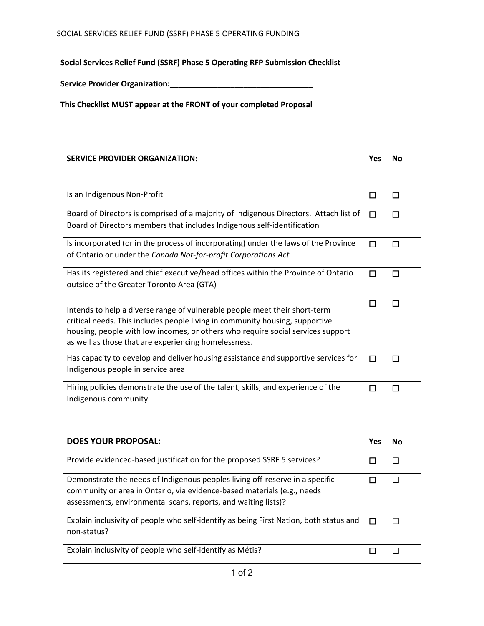**Social Services Relief Fund (SSRF) Phase 5 Operating RFP Submission Checklist** 

**Service Provider Organization:\_\_\_\_\_\_\_\_\_\_\_\_\_\_\_\_\_\_\_\_\_\_\_\_\_\_\_\_\_\_\_\_\_**

**This Checklist MUST appear at the FRONT of your completed Proposal**

| <b>SERVICE PROVIDER ORGANIZATION:</b>                                                                                                                                                                                                                                                                 | Yes    | No     |
|-------------------------------------------------------------------------------------------------------------------------------------------------------------------------------------------------------------------------------------------------------------------------------------------------------|--------|--------|
| Is an Indigenous Non-Profit                                                                                                                                                                                                                                                                           | $\Box$ | $\Box$ |
| Board of Directors is comprised of a majority of Indigenous Directors. Attach list of<br>Board of Directors members that includes Indigenous self-identification                                                                                                                                      | $\Box$ | □      |
| Is incorporated (or in the process of incorporating) under the laws of the Province<br>of Ontario or under the Canada Not-for-profit Corporations Act                                                                                                                                                 | □      | □      |
| Has its registered and chief executive/head offices within the Province of Ontario<br>outside of the Greater Toronto Area (GTA)                                                                                                                                                                       | □      | □      |
| Intends to help a diverse range of vulnerable people meet their short-term<br>critical needs. This includes people living in community housing, supportive<br>housing, people with low incomes, or others who require social services support<br>as well as those that are experiencing homelessness. | □      | □      |
| Has capacity to develop and deliver housing assistance and supportive services for<br>Indigenous people in service area                                                                                                                                                                               | □      | □      |
| Hiring policies demonstrate the use of the talent, skills, and experience of the<br>Indigenous community                                                                                                                                                                                              | □      | □      |
|                                                                                                                                                                                                                                                                                                       |        |        |
| <b>DOES YOUR PROPOSAL:</b>                                                                                                                                                                                                                                                                            | Yes    | No     |
| Provide evidenced-based justification for the proposed SSRF 5 services?                                                                                                                                                                                                                               | $\Box$ | $\Box$ |
| Demonstrate the needs of Indigenous peoples living off-reserve in a specific<br>community or area in Ontario, via evidence-based materials (e.g., needs<br>assessments, environmental scans, reports, and waiting lists)?                                                                             | □      | $\Box$ |
| Explain inclusivity of people who self-identify as being First Nation, both status and<br>non-status?                                                                                                                                                                                                 | $\Box$ | $\Box$ |
| Explain inclusivity of people who self-identify as Métis?                                                                                                                                                                                                                                             | $\Box$ | $\Box$ |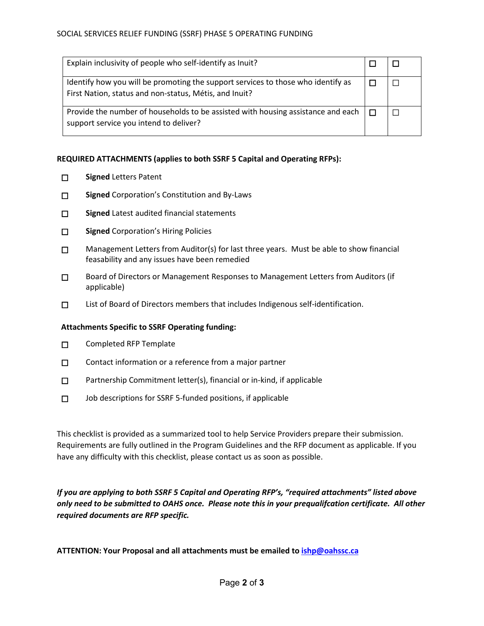| Explain inclusivity of people who self-identify as Inuit?                                                                                  |  |
|--------------------------------------------------------------------------------------------------------------------------------------------|--|
| Identify how you will be promoting the support services to those who identify as<br>First Nation, status and non-status, Métis, and Inuit? |  |
| Provide the number of households to be assisted with housing assistance and each<br>support service you intend to deliver?                 |  |

## **REQUIRED ATTACHMENTS (applies to both SSRF 5 Capital and Operating RFPs):**

- ☐ **Signed** Letters Patent
- ☐ **Signed** Corporation's Constitution and By-Laws
- □ Signed Latest audited financial statements
- ☐ **Signed** Corporation's Hiring Policies
- $\square$  Management Letters from Auditor(s) for last three years. Must be able to show financial feasability and any issues have been remedied
- ☐ Board of Directors or Management Responses to Management Letters from Auditors (if applicable)
- ☐ List of Board of Directors members that includes Indigenous self-identification.

## **Attachments Specific to SSRF Operating funding:**

- ☐ Completed RFP Template
- □ Contact information or a reference from a major partner
- □ Partnership Commitment letter(s), financial or in-kind, if applicable
- ☐ Job descriptions for SSRF 5-funded positions, if applicable

This checklist is provided as a summarized tool to help Service Providers prepare their submission. Requirements are fully outlined in the Program Guidelines and the RFP document as applicable. If you have any difficulty with this checklist, please contact us as soon as possible.

*If you are applying to both SSRF 5 Capital and Operating RFP's, "required attachments" listed above only need to be submitted to OAHS once. Please note this in your prequalifcation certificate. All other required documents are RFP specific.* 

**ATTENTION: Your Proposal and all attachments must be emailed t[o ishp@oahssc.ca](mailto:ishp@oahssc.ca)**